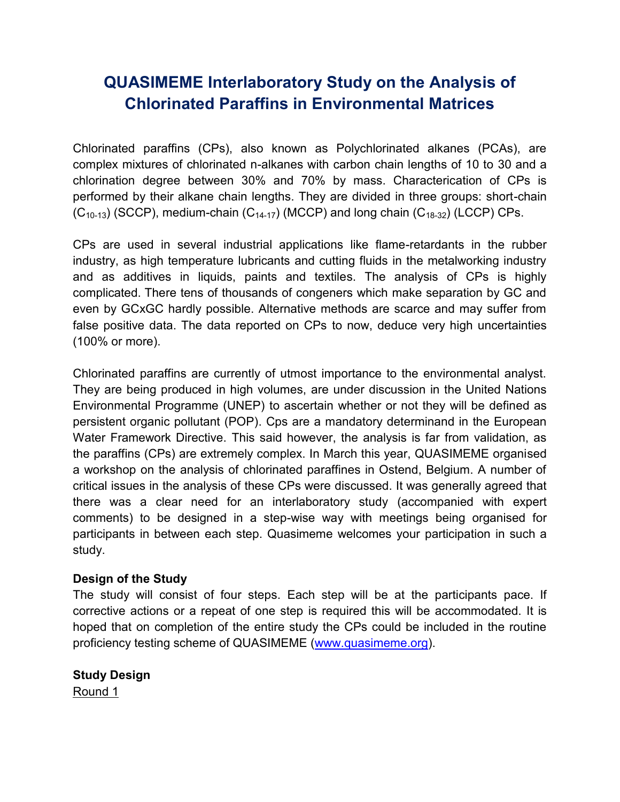# **QUASIMEME Interlaboratory Study on the Analysis of Chlorinated Paraffins in Environmental Matrices**

Chlorinated paraffins (CPs), also known as Polychlorinated alkanes (PCAs), are complex mixtures of chlorinated n-alkanes with carbon chain lengths of 10 to 30 and a chlorination degree between 30% and 70% by mass. Characterication of CPs is performed by their alkane chain lengths. They are divided in three groups: short-chain  $(C_{10-13})$  (SCCP), medium-chain  $(C_{14-17})$  (MCCP) and long chain  $(C_{18-32})$  (LCCP) CPs.

CPs are used in several industrial applications like flame-retardants in the rubber industry, as high temperature lubricants and cutting fluids in the metalworking industry and as additives in liquids, paints and textiles. The analysis of CPs is highly complicated. There tens of thousands of congeners which make separation by GC and even by GCxGC hardly possible. Alternative methods are scarce and may suffer from false positive data. The data reported on CPs to now, deduce very high uncertainties (100% or more).

Chlorinated paraffins are currently of utmost importance to the environmental analyst. They are being produced in high volumes, are under discussion in the United Nations Environmental Programme (UNEP) to ascertain whether or not they will be defined as persistent organic pollutant (POP). Cps are a mandatory determinand in the European Water Framework Directive. This said however, the analysis is far from validation, as the paraffins (CPs) are extremely complex. In March this year, QUASIMEME organised a workshop on the analysis of chlorinated paraffines in Ostend, Belgium. A number of critical issues in the analysis of these CPs were discussed. It was generally agreed that there was a clear need for an interlaboratory study (accompanied with expert comments) to be designed in a step-wise way with meetings being organised for participants in between each step. Quasimeme welcomes your participation in such a study.

### **Design of the Study**

The study will consist of four steps. Each step will be at the participants pace. If corrective actions or a repeat of one step is required this will be accommodated. It is hoped that on completion of the entire study the CPs could be included in the routine proficiency testing scheme of QUASIMEME [\(www.quasimeme.org\)](http://www.quasimeme.org/).

**Study Design** Round 1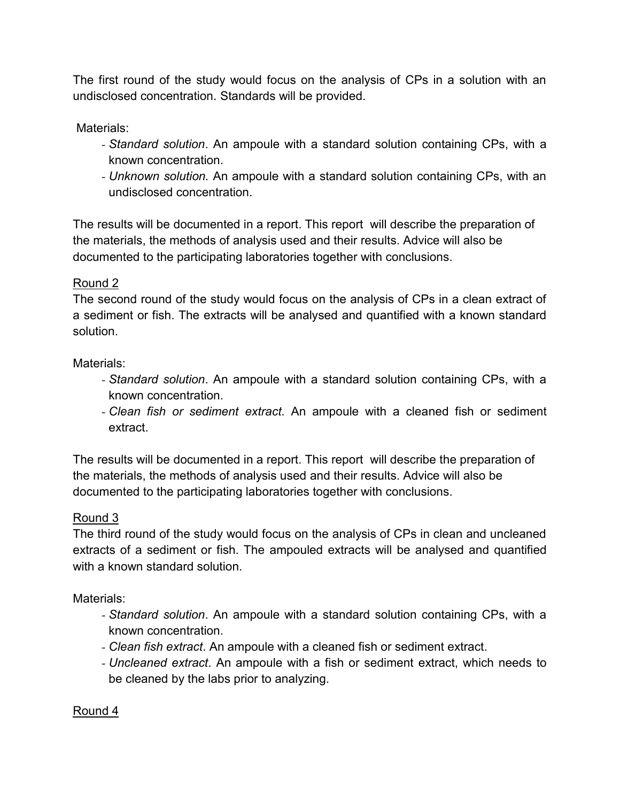The first round of the study would focus on the analysis of CPs in a solution with an undisclosed concentration. Standards will be provided.

Materials:

- *- Standard solution*. An ampoule with a standard solution containing CPs, with a known concentration.
- *- Unknown solution.* An ampoule with a standard solution containing CPs, with an undisclosed concentration.

The results will be documented in a report. This report will describe the preparation of the materials, the methods of analysis used and their results. Advice will also be documented to the participating laboratories together with conclusions.

## Round 2

The second round of the study would focus on the analysis of CPs in a clean extract of a sediment or fish. The extracts will be analysed and quantified with a known standard solution.

Materials:

- *- Standard solution*. An ampoule with a standard solution containing CPs, with a known concentration.
- *- Clean fish or sediment extract*. An ampoule with a cleaned fish or sediment extract.

The results will be documented in a report. This report will describe the preparation of the materials, the methods of analysis used and their results. Advice will also be documented to the participating laboratories together with conclusions.

## Round 3

The third round of the study would focus on the analysis of CPs in clean and uncleaned extracts of a sediment or fish. The ampouled extracts will be analysed and quantified with a known standard solution.

Materials:

- *- Standard solution*. An ampoule with a standard solution containing CPs, with a known concentration.
- *- Clean fish extract*. An ampoule with a cleaned fish or sediment extract.
- *- Uncleaned extract*. An ampoule with a fish or sediment extract, which needs to be cleaned by the labs prior to analyzing.

## Round 4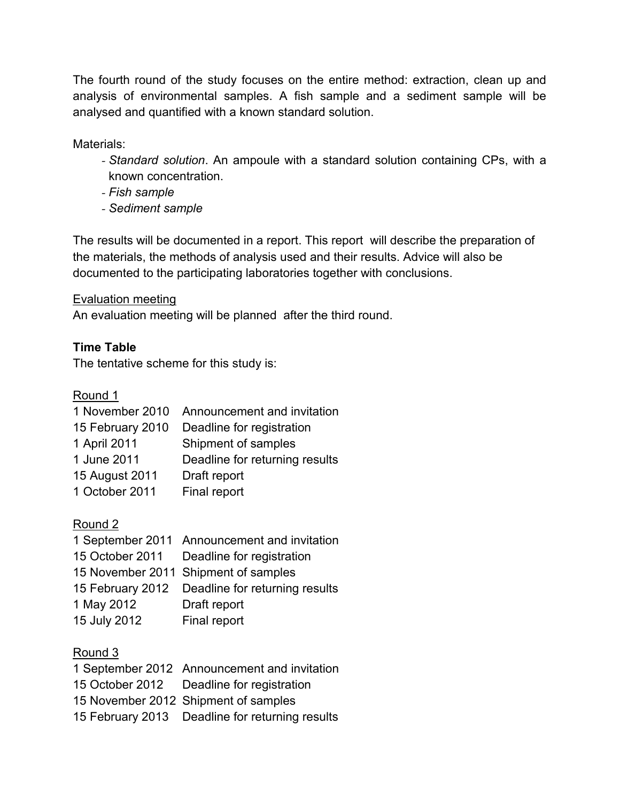The fourth round of the study focuses on the entire method: extraction, clean up and analysis of environmental samples. A fish sample and a sediment sample will be analysed and quantified with a known standard solution.

Materials:

- *- Standard solution*. An ampoule with a standard solution containing CPs, with a known concentration.
- *- Fish sample*
- *- Sediment sample*

The results will be documented in a report. This report will describe the preparation of the materials, the methods of analysis used and their results. Advice will also be documented to the participating laboratories together with conclusions.

## Evaluation meeting

An evaluation meeting will be planned after the third round.

## **Time Table**

The tentative scheme for this study is:

Round 1

| Announcement and invitation    |
|--------------------------------|
| Deadline for registration      |
| Shipment of samples            |
| Deadline for returning results |
| Draft report                   |
| Final report                   |
|                                |

Round 2

|              | 1 September 2011 Announcement and invitation    |
|--------------|-------------------------------------------------|
|              | 15 October 2011 Deadline for registration       |
|              | 15 November 2011 Shipment of samples            |
|              | 15 February 2012 Deadline for returning results |
| 1 May 2012   | Draft report                                    |
| 15 July 2012 | Final report                                    |

## Round 3

| 1 September 2012 Announcement and invitation    |
|-------------------------------------------------|
| 15 October 2012  Deadline for registration      |
| 15 November 2012 Shipment of samples            |
| 15 February 2013 Deadline for returning results |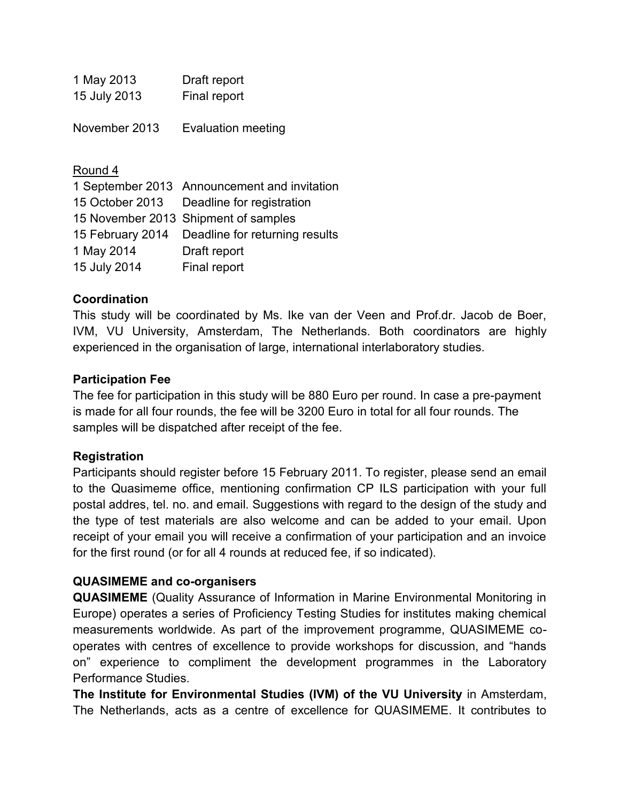| 1 May 2013   | Draft report |
|--------------|--------------|
| 15 July 2013 | Final report |

November 2013 Evaluation meeting

#### Round 4

1 September 2013 Announcement and invitation 15 October 2013 Deadline for registration 15 November 2013 Shipment of samples 15 February 2014 Deadline for returning results 1 May 2014 Draft report 15 July 2014 Final report

### **Coordination**

This study will be coordinated by Ms. Ike van der Veen and Prof.dr. Jacob de Boer, IVM, VU University, Amsterdam, The Netherlands. Both coordinators are highly experienced in the organisation of large, international interlaboratory studies.

### **Participation Fee**

The fee for participation in this study will be 880 Euro per round. In case a pre-payment is made for all four rounds, the fee will be 3200 Euro in total for all four rounds. The samples will be dispatched after receipt of the fee.

### **Registration**

Participants should register before 15 February 2011. To register, please send an email to the Quasimeme office, mentioning confirmation CP ILS participation with your full postal addres, tel. no. and email. Suggestions with regard to the design of the study and the type of test materials are also welcome and can be added to your email. Upon receipt of your email you will receive a confirmation of your participation and an invoice for the first round (or for all 4 rounds at reduced fee, if so indicated).

### **QUASIMEME and co-organisers**

**QUASIMEME** (Quality Assurance of Information in Marine Environmental Monitoring in Europe) operates a series of Proficiency Testing Studies for institutes making chemical measurements worldwide. As part of the improvement programme, QUASIMEME cooperates with centres of excellence to provide workshops for discussion, and "hands on" experience to compliment the development programmes in the Laboratory Performance Studies.

**The Institute for Environmental Studies (IVM) of the VU University** in Amsterdam, The Netherlands, acts as a centre of excellence for QUASIMEME. It contributes to